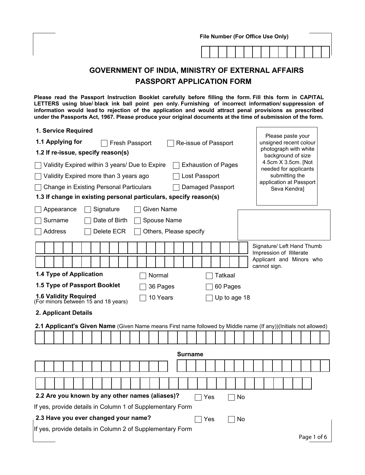| File Number (For Office Use Only)                                                                                                                                                                                                                                                                                                                                                                                                            |                                                                                              |  |  |  |  |  |  |  |  |  |  |
|----------------------------------------------------------------------------------------------------------------------------------------------------------------------------------------------------------------------------------------------------------------------------------------------------------------------------------------------------------------------------------------------------------------------------------------------|----------------------------------------------------------------------------------------------|--|--|--|--|--|--|--|--|--|--|
|                                                                                                                                                                                                                                                                                                                                                                                                                                              |                                                                                              |  |  |  |  |  |  |  |  |  |  |
|                                                                                                                                                                                                                                                                                                                                                                                                                                              | <b>GOVERNMENT OF INDIA, MINISTRY OF EXTERNAL AFFAIRS</b>                                     |  |  |  |  |  |  |  |  |  |  |
| <b>PASSPORT APPLICATION FORM</b>                                                                                                                                                                                                                                                                                                                                                                                                             |                                                                                              |  |  |  |  |  |  |  |  |  |  |
| Please read the Passport Instruction Booklet carefully before filling the form. Fill this form in CAPITAL<br>LETTERS using blue/black ink ball point pen only. Furnishing of incorrect information/suppression of<br>information would lead to rejection of the application and would attract penal provisions as prescribed<br>under the Passports Act, 1967. Please produce your original documents at the time of submission of the form. |                                                                                              |  |  |  |  |  |  |  |  |  |  |
| 1. Service Required                                                                                                                                                                                                                                                                                                                                                                                                                          |                                                                                              |  |  |  |  |  |  |  |  |  |  |
| 1.1 Applying for<br>Fresh Passport                                                                                                                                                                                                                                                                                                                                                                                                           | Please paste your<br>Re-issue of Passport<br>unsigned recent colour<br>photograph with white |  |  |  |  |  |  |  |  |  |  |
| 1.2 If re-issue, specify reason(s)<br>background of size<br>4.5cm X 3.5cm. [Not                                                                                                                                                                                                                                                                                                                                                              |                                                                                              |  |  |  |  |  |  |  |  |  |  |
| <b>Exhaustion of Pages</b><br>Validity Expired within 3 years/ Due to Expire<br>needed for applicants<br>submitting the<br>Lost Passport<br>Validity Expired more than 3 years ago                                                                                                                                                                                                                                                           |                                                                                              |  |  |  |  |  |  |  |  |  |  |
| application at Passport<br><b>Change in Existing Personal Particulars</b><br>Damaged Passport                                                                                                                                                                                                                                                                                                                                                |                                                                                              |  |  |  |  |  |  |  |  |  |  |
| Seva Kendra]<br>1.3 If change in existing personal particulars, specify reason(s)                                                                                                                                                                                                                                                                                                                                                            |                                                                                              |  |  |  |  |  |  |  |  |  |  |
| Signature<br><b>Given Name</b><br>Appearance                                                                                                                                                                                                                                                                                                                                                                                                 |                                                                                              |  |  |  |  |  |  |  |  |  |  |
| Date of Birth<br>Spouse Name<br>Surname                                                                                                                                                                                                                                                                                                                                                                                                      |                                                                                              |  |  |  |  |  |  |  |  |  |  |
| Others, Please specify<br>Address<br>Delete ECR                                                                                                                                                                                                                                                                                                                                                                                              |                                                                                              |  |  |  |  |  |  |  |  |  |  |
| Signature/ Left Hand Thumb                                                                                                                                                                                                                                                                                                                                                                                                                   |                                                                                              |  |  |  |  |  |  |  |  |  |  |
|                                                                                                                                                                                                                                                                                                                                                                                                                                              | Impression of Illiterate<br>Applicant and Minors who                                         |  |  |  |  |  |  |  |  |  |  |
|                                                                                                                                                                                                                                                                                                                                                                                                                                              | cannot sign.                                                                                 |  |  |  |  |  |  |  |  |  |  |
| 1.4 Type of Application<br>Normal                                                                                                                                                                                                                                                                                                                                                                                                            | <b>Tatkaal</b>                                                                               |  |  |  |  |  |  |  |  |  |  |
| 1.5 Type of Passport Booklet<br>36 Pages                                                                                                                                                                                                                                                                                                                                                                                                     | 60 Pages                                                                                     |  |  |  |  |  |  |  |  |  |  |
| 1.6 Validity Required<br>(For minors between 15 and 18 years)<br>$\Box$ 10 Years                                                                                                                                                                                                                                                                                                                                                             | $\Box$ Up to age 18                                                                          |  |  |  |  |  |  |  |  |  |  |
| 2. Applicant Details                                                                                                                                                                                                                                                                                                                                                                                                                         |                                                                                              |  |  |  |  |  |  |  |  |  |  |
| 2.1 Applicant's Given Name (Given Name means First name followed by Middle name (If any))(Initials not allowed)                                                                                                                                                                                                                                                                                                                              |                                                                                              |  |  |  |  |  |  |  |  |  |  |
|                                                                                                                                                                                                                                                                                                                                                                                                                                              |                                                                                              |  |  |  |  |  |  |  |  |  |  |
| <b>Surname</b>                                                                                                                                                                                                                                                                                                                                                                                                                               |                                                                                              |  |  |  |  |  |  |  |  |  |  |
|                                                                                                                                                                                                                                                                                                                                                                                                                                              |                                                                                              |  |  |  |  |  |  |  |  |  |  |
|                                                                                                                                                                                                                                                                                                                                                                                                                                              |                                                                                              |  |  |  |  |  |  |  |  |  |  |
|                                                                                                                                                                                                                                                                                                                                                                                                                                              |                                                                                              |  |  |  |  |  |  |  |  |  |  |
| 2.2 Are you known by any other names (aliases)?                                                                                                                                                                                                                                                                                                                                                                                              | Yes<br>No                                                                                    |  |  |  |  |  |  |  |  |  |  |
| If yes, provide details in Column 1 of Supplementary Form                                                                                                                                                                                                                                                                                                                                                                                    |                                                                                              |  |  |  |  |  |  |  |  |  |  |
| 2.3 Have you ever changed your name?<br>No.<br>Yes                                                                                                                                                                                                                                                                                                                                                                                           |                                                                                              |  |  |  |  |  |  |  |  |  |  |
| If yes, provide details in Column 2 of Supplementary Form                                                                                                                                                                                                                                                                                                                                                                                    |                                                                                              |  |  |  |  |  |  |  |  |  |  |
|                                                                                                                                                                                                                                                                                                                                                                                                                                              | Page 1 of 6                                                                                  |  |  |  |  |  |  |  |  |  |  |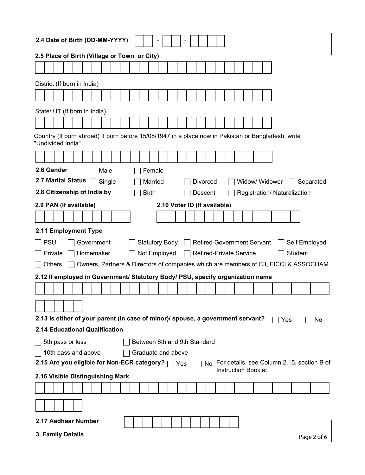| 2.4 Date of Birth (DD-MM-YYYY)                                                                                                       |  |  |  |  |  |  |  |  |  |  |  |  |  |
|--------------------------------------------------------------------------------------------------------------------------------------|--|--|--|--|--|--|--|--|--|--|--|--|--|
| 2.5 Place of Birth (Village or Town or City)                                                                                         |  |  |  |  |  |  |  |  |  |  |  |  |  |
|                                                                                                                                      |  |  |  |  |  |  |  |  |  |  |  |  |  |
| District (If born in India)                                                                                                          |  |  |  |  |  |  |  |  |  |  |  |  |  |
|                                                                                                                                      |  |  |  |  |  |  |  |  |  |  |  |  |  |
|                                                                                                                                      |  |  |  |  |  |  |  |  |  |  |  |  |  |
| State/ UT (If born in India)                                                                                                         |  |  |  |  |  |  |  |  |  |  |  |  |  |
|                                                                                                                                      |  |  |  |  |  |  |  |  |  |  |  |  |  |
| Country (If born abroad) If born before 15/08/1947 in a place now in Pakistan or Bangladesh, write<br>"Undivided India"              |  |  |  |  |  |  |  |  |  |  |  |  |  |
|                                                                                                                                      |  |  |  |  |  |  |  |  |  |  |  |  |  |
| 2.6 Gender<br>Male<br>Female                                                                                                         |  |  |  |  |  |  |  |  |  |  |  |  |  |
| 2.7 Marital Status<br>Single<br>Married<br>Divorced<br>Widow/ Widower<br>Separated                                                   |  |  |  |  |  |  |  |  |  |  |  |  |  |
| 2.8 Citizenship of India by<br><b>Birth</b><br>Registration/ Naturalization<br>Descent                                               |  |  |  |  |  |  |  |  |  |  |  |  |  |
| 2.9 PAN (If available)<br>2.10 Voter ID (If available)                                                                               |  |  |  |  |  |  |  |  |  |  |  |  |  |
|                                                                                                                                      |  |  |  |  |  |  |  |  |  |  |  |  |  |
| 2.11 Employment Type                                                                                                                 |  |  |  |  |  |  |  |  |  |  |  |  |  |
| <b>PSU</b><br>Government<br><b>Statutory Body</b><br><b>Retired Government Servant</b><br>Self Employed                              |  |  |  |  |  |  |  |  |  |  |  |  |  |
| Homemaker<br>Student<br>Not Employed<br><b>Retired-Private Service</b><br>Private                                                    |  |  |  |  |  |  |  |  |  |  |  |  |  |
| Owners, Partners & Directors of companies which are members of CII, FICCI & ASSOCHAM<br>Others                                       |  |  |  |  |  |  |  |  |  |  |  |  |  |
| 2.12 If employed in Government/ Statutory Body/ PSU, specify organization name                                                       |  |  |  |  |  |  |  |  |  |  |  |  |  |
|                                                                                                                                      |  |  |  |  |  |  |  |  |  |  |  |  |  |
|                                                                                                                                      |  |  |  |  |  |  |  |  |  |  |  |  |  |
|                                                                                                                                      |  |  |  |  |  |  |  |  |  |  |  |  |  |
|                                                                                                                                      |  |  |  |  |  |  |  |  |  |  |  |  |  |
| 2.13 Is either of your parent (in case of minor)/ spouse, a government servant?<br>No<br>Yes                                         |  |  |  |  |  |  |  |  |  |  |  |  |  |
| 2.14 Educational Qualification                                                                                                       |  |  |  |  |  |  |  |  |  |  |  |  |  |
| 5th pass or less<br>Between 6th and 9th Standard                                                                                     |  |  |  |  |  |  |  |  |  |  |  |  |  |
| 10th pass and above<br>Graduate and above                                                                                            |  |  |  |  |  |  |  |  |  |  |  |  |  |
| 2.15 Are you eligible for Non-ECR category? □ Yes<br>For details, see Column 2.15, section B of<br>No.<br><b>Instruction Booklet</b> |  |  |  |  |  |  |  |  |  |  |  |  |  |
| 2.16 Visible Distinguishing Mark                                                                                                     |  |  |  |  |  |  |  |  |  |  |  |  |  |
|                                                                                                                                      |  |  |  |  |  |  |  |  |  |  |  |  |  |
|                                                                                                                                      |  |  |  |  |  |  |  |  |  |  |  |  |  |
| 2.17 Aadhaar Number                                                                                                                  |  |  |  |  |  |  |  |  |  |  |  |  |  |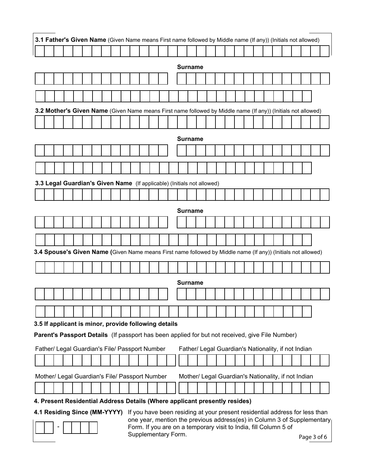| <b>Surname</b><br>3.2 Mother's Given Name (Given Name means First name followed by Middle name (If any)) (Initials not allowed)<br><b>Surname</b><br>3.3 Legal Guardian's Given Name (If applicable) (Initials not allowed)<br><b>Surname</b><br>3.4 Spouse's Given Name (Given Name means First name followed by Middle name (If any)) (Initials not allowed)<br><b>Surname</b><br>3.5 If applicant is minor, provide following details |  |  |  |  |  |  |  |  |  |  |  |  |  |  |
|------------------------------------------------------------------------------------------------------------------------------------------------------------------------------------------------------------------------------------------------------------------------------------------------------------------------------------------------------------------------------------------------------------------------------------------|--|--|--|--|--|--|--|--|--|--|--|--|--|--|
|                                                                                                                                                                                                                                                                                                                                                                                                                                          |  |  |  |  |  |  |  |  |  |  |  |  |  |  |
|                                                                                                                                                                                                                                                                                                                                                                                                                                          |  |  |  |  |  |  |  |  |  |  |  |  |  |  |
|                                                                                                                                                                                                                                                                                                                                                                                                                                          |  |  |  |  |  |  |  |  |  |  |  |  |  |  |
|                                                                                                                                                                                                                                                                                                                                                                                                                                          |  |  |  |  |  |  |  |  |  |  |  |  |  |  |
|                                                                                                                                                                                                                                                                                                                                                                                                                                          |  |  |  |  |  |  |  |  |  |  |  |  |  |  |
|                                                                                                                                                                                                                                                                                                                                                                                                                                          |  |  |  |  |  |  |  |  |  |  |  |  |  |  |
|                                                                                                                                                                                                                                                                                                                                                                                                                                          |  |  |  |  |  |  |  |  |  |  |  |  |  |  |
|                                                                                                                                                                                                                                                                                                                                                                                                                                          |  |  |  |  |  |  |  |  |  |  |  |  |  |  |
|                                                                                                                                                                                                                                                                                                                                                                                                                                          |  |  |  |  |  |  |  |  |  |  |  |  |  |  |
|                                                                                                                                                                                                                                                                                                                                                                                                                                          |  |  |  |  |  |  |  |  |  |  |  |  |  |  |
|                                                                                                                                                                                                                                                                                                                                                                                                                                          |  |  |  |  |  |  |  |  |  |  |  |  |  |  |
|                                                                                                                                                                                                                                                                                                                                                                                                                                          |  |  |  |  |  |  |  |  |  |  |  |  |  |  |
|                                                                                                                                                                                                                                                                                                                                                                                                                                          |  |  |  |  |  |  |  |  |  |  |  |  |  |  |
|                                                                                                                                                                                                                                                                                                                                                                                                                                          |  |  |  |  |  |  |  |  |  |  |  |  |  |  |
|                                                                                                                                                                                                                                                                                                                                                                                                                                          |  |  |  |  |  |  |  |  |  |  |  |  |  |  |
|                                                                                                                                                                                                                                                                                                                                                                                                                                          |  |  |  |  |  |  |  |  |  |  |  |  |  |  |
|                                                                                                                                                                                                                                                                                                                                                                                                                                          |  |  |  |  |  |  |  |  |  |  |  |  |  |  |
|                                                                                                                                                                                                                                                                                                                                                                                                                                          |  |  |  |  |  |  |  |  |  |  |  |  |  |  |
|                                                                                                                                                                                                                                                                                                                                                                                                                                          |  |  |  |  |  |  |  |  |  |  |  |  |  |  |
|                                                                                                                                                                                                                                                                                                                                                                                                                                          |  |  |  |  |  |  |  |  |  |  |  |  |  |  |
|                                                                                                                                                                                                                                                                                                                                                                                                                                          |  |  |  |  |  |  |  |  |  |  |  |  |  |  |
| Parent's Passport Details (If passport has been applied for but not received, give File Number)                                                                                                                                                                                                                                                                                                                                          |  |  |  |  |  |  |  |  |  |  |  |  |  |  |
| Father/ Legal Guardian's File/ Passport Number<br>Father/ Legal Guardian's Nationality, if not Indian                                                                                                                                                                                                                                                                                                                                    |  |  |  |  |  |  |  |  |  |  |  |  |  |  |
|                                                                                                                                                                                                                                                                                                                                                                                                                                          |  |  |  |  |  |  |  |  |  |  |  |  |  |  |
| Mother/ Legal Guardian's File/ Passport Number<br>Mother/ Legal Guardian's Nationality, if not Indian                                                                                                                                                                                                                                                                                                                                    |  |  |  |  |  |  |  |  |  |  |  |  |  |  |
|                                                                                                                                                                                                                                                                                                                                                                                                                                          |  |  |  |  |  |  |  |  |  |  |  |  |  |  |
| 4. Present Residential Address Details (Where applicant presently resides)                                                                                                                                                                                                                                                                                                                                                               |  |  |  |  |  |  |  |  |  |  |  |  |  |  |

 Page 3 of 6 **4.1 Residing Since (MM-YYYY)** If you have been residing at your present residential address for less than  one year, mention the previous address(es) in Column 3 of Supplementary Form. If you are on a temporary visit to India, fill Column 5 of Supplementary Form.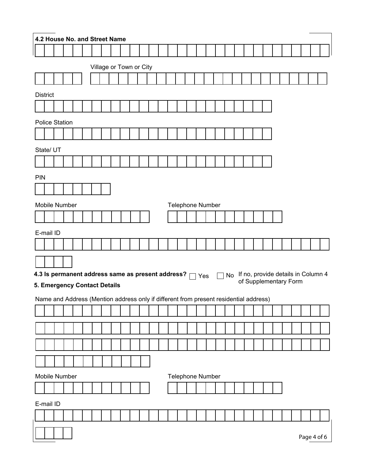|                          | 4.2 House No. and Street Name                                                                                         |  |  |  |  |  |  |  |   |  |  |  |  |  |                  |                 |  |    |  |  |                       |  |  |  |                                    |
|--------------------------|-----------------------------------------------------------------------------------------------------------------------|--|--|--|--|--|--|--|---|--|--|--|--|--|------------------|-----------------|--|----|--|--|-----------------------|--|--|--|------------------------------------|
|                          |                                                                                                                       |  |  |  |  |  |  |  |   |  |  |  |  |  |                  |                 |  |    |  |  |                       |  |  |  |                                    |
| Village or Town or City  |                                                                                                                       |  |  |  |  |  |  |  |   |  |  |  |  |  |                  |                 |  |    |  |  |                       |  |  |  |                                    |
|                          |                                                                                                                       |  |  |  |  |  |  |  |   |  |  |  |  |  |                  |                 |  |    |  |  |                       |  |  |  |                                    |
|                          | <b>District</b>                                                                                                       |  |  |  |  |  |  |  |   |  |  |  |  |  |                  |                 |  |    |  |  |                       |  |  |  |                                    |
|                          |                                                                                                                       |  |  |  |  |  |  |  |   |  |  |  |  |  |                  |                 |  |    |  |  |                       |  |  |  |                                    |
|                          | <b>Police Station</b>                                                                                                 |  |  |  |  |  |  |  |   |  |  |  |  |  |                  |                 |  |    |  |  |                       |  |  |  |                                    |
|                          |                                                                                                                       |  |  |  |  |  |  |  |   |  |  |  |  |  |                  |                 |  |    |  |  |                       |  |  |  |                                    |
|                          | State/ UT                                                                                                             |  |  |  |  |  |  |  |   |  |  |  |  |  |                  |                 |  |    |  |  |                       |  |  |  |                                    |
|                          |                                                                                                                       |  |  |  |  |  |  |  |   |  |  |  |  |  |                  |                 |  |    |  |  |                       |  |  |  |                                    |
| PIN                      |                                                                                                                       |  |  |  |  |  |  |  |   |  |  |  |  |  |                  |                 |  |    |  |  |                       |  |  |  |                                    |
|                          |                                                                                                                       |  |  |  |  |  |  |  |   |  |  |  |  |  |                  |                 |  |    |  |  |                       |  |  |  |                                    |
|                          | Mobile Number                                                                                                         |  |  |  |  |  |  |  |   |  |  |  |  |  | Telephone Number |                 |  |    |  |  |                       |  |  |  |                                    |
|                          |                                                                                                                       |  |  |  |  |  |  |  |   |  |  |  |  |  |                  |                 |  |    |  |  |                       |  |  |  |                                    |
|                          | E-mail ID                                                                                                             |  |  |  |  |  |  |  |   |  |  |  |  |  |                  |                 |  |    |  |  |                       |  |  |  |                                    |
|                          |                                                                                                                       |  |  |  |  |  |  |  |   |  |  |  |  |  |                  |                 |  |    |  |  |                       |  |  |  |                                    |
|                          |                                                                                                                       |  |  |  |  |  |  |  |   |  |  |  |  |  |                  |                 |  |    |  |  |                       |  |  |  |                                    |
|                          | 4.3 Is permanent address same as present address?                                                                     |  |  |  |  |  |  |  |   |  |  |  |  |  |                  | $\sqsupset$ Yes |  | No |  |  |                       |  |  |  | If no, provide details in Column 4 |
|                          |                                                                                                                       |  |  |  |  |  |  |  |   |  |  |  |  |  |                  |                 |  |    |  |  | of Supplementary Form |  |  |  |                                    |
|                          | 5. Emergency Contact Details<br>Name and Address (Mention address only if different from present residential address) |  |  |  |  |  |  |  |   |  |  |  |  |  |                  |                 |  |    |  |  |                       |  |  |  |                                    |
| $\overline{\phantom{0}}$ |                                                                                                                       |  |  |  |  |  |  |  | . |  |  |  |  |  |                  |                 |  |    |  |  |                       |  |  |  |                                    |
|                          |                                                                                                                       |  |  |  |  |  |  |  |   |  |  |  |  |  |                  |                 |  |    |  |  |                       |  |  |  |                                    |
|                          |                                                                                                                       |  |  |  |  |  |  |  |   |  |  |  |  |  |                  |                 |  |    |  |  |                       |  |  |  |                                    |
|                          |                                                                                                                       |  |  |  |  |  |  |  |   |  |  |  |  |  |                  |                 |  |    |  |  |                       |  |  |  |                                    |
|                          |                                                                                                                       |  |  |  |  |  |  |  |   |  |  |  |  |  |                  |                 |  |    |  |  |                       |  |  |  |                                    |
|                          | Mobile Number                                                                                                         |  |  |  |  |  |  |  |   |  |  |  |  |  | Telephone Number |                 |  |    |  |  |                       |  |  |  |                                    |
|                          |                                                                                                                       |  |  |  |  |  |  |  |   |  |  |  |  |  |                  |                 |  |    |  |  |                       |  |  |  |                                    |
|                          | E-mail ID                                                                                                             |  |  |  |  |  |  |  |   |  |  |  |  |  |                  |                 |  |    |  |  |                       |  |  |  |                                    |
|                          |                                                                                                                       |  |  |  |  |  |  |  |   |  |  |  |  |  |                  |                 |  |    |  |  |                       |  |  |  |                                    |
|                          | Page 4 of 6                                                                                                           |  |  |  |  |  |  |  |   |  |  |  |  |  |                  |                 |  |    |  |  |                       |  |  |  |                                    |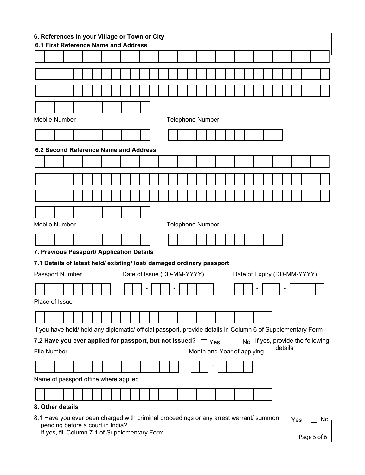|                                                                                                                                                            | 6. References in your Village or Town or City<br>6.1 First Reference Name and Address                                      |  |  |  |  |  |  |  |  |  |  |  |  |                            |  |  |  |  |  |  |     |                             |  |     |
|------------------------------------------------------------------------------------------------------------------------------------------------------------|----------------------------------------------------------------------------------------------------------------------------|--|--|--|--|--|--|--|--|--|--|--|--|----------------------------|--|--|--|--|--|--|-----|-----------------------------|--|-----|
|                                                                                                                                                            |                                                                                                                            |  |  |  |  |  |  |  |  |  |  |  |  |                            |  |  |  |  |  |  |     |                             |  |     |
|                                                                                                                                                            |                                                                                                                            |  |  |  |  |  |  |  |  |  |  |  |  |                            |  |  |  |  |  |  |     |                             |  |     |
|                                                                                                                                                            |                                                                                                                            |  |  |  |  |  |  |  |  |  |  |  |  |                            |  |  |  |  |  |  |     |                             |  |     |
|                                                                                                                                                            |                                                                                                                            |  |  |  |  |  |  |  |  |  |  |  |  |                            |  |  |  |  |  |  |     |                             |  |     |
|                                                                                                                                                            |                                                                                                                            |  |  |  |  |  |  |  |  |  |  |  |  |                            |  |  |  |  |  |  |     |                             |  |     |
|                                                                                                                                                            | <b>Mobile Number</b>                                                                                                       |  |  |  |  |  |  |  |  |  |  |  |  | <b>Telephone Number</b>    |  |  |  |  |  |  |     |                             |  |     |
|                                                                                                                                                            |                                                                                                                            |  |  |  |  |  |  |  |  |  |  |  |  |                            |  |  |  |  |  |  |     |                             |  |     |
|                                                                                                                                                            | 6.2 Second Reference Name and Address                                                                                      |  |  |  |  |  |  |  |  |  |  |  |  |                            |  |  |  |  |  |  |     |                             |  |     |
|                                                                                                                                                            |                                                                                                                            |  |  |  |  |  |  |  |  |  |  |  |  |                            |  |  |  |  |  |  |     |                             |  |     |
|                                                                                                                                                            |                                                                                                                            |  |  |  |  |  |  |  |  |  |  |  |  |                            |  |  |  |  |  |  |     |                             |  |     |
|                                                                                                                                                            |                                                                                                                            |  |  |  |  |  |  |  |  |  |  |  |  |                            |  |  |  |  |  |  |     |                             |  |     |
|                                                                                                                                                            |                                                                                                                            |  |  |  |  |  |  |  |  |  |  |  |  |                            |  |  |  |  |  |  |     |                             |  |     |
|                                                                                                                                                            |                                                                                                                            |  |  |  |  |  |  |  |  |  |  |  |  |                            |  |  |  |  |  |  |     |                             |  |     |
|                                                                                                                                                            | <b>Mobile Number</b>                                                                                                       |  |  |  |  |  |  |  |  |  |  |  |  | <b>Telephone Number</b>    |  |  |  |  |  |  |     |                             |  |     |
|                                                                                                                                                            |                                                                                                                            |  |  |  |  |  |  |  |  |  |  |  |  |                            |  |  |  |  |  |  |     |                             |  |     |
| 7. Previous Passport/ Application Details                                                                                                                  |                                                                                                                            |  |  |  |  |  |  |  |  |  |  |  |  |                            |  |  |  |  |  |  |     |                             |  |     |
|                                                                                                                                                            | 7.1 Details of latest held/ existing/ lost/ damaged ordinary passport                                                      |  |  |  |  |  |  |  |  |  |  |  |  |                            |  |  |  |  |  |  |     |                             |  |     |
|                                                                                                                                                            | Passport Number                                                                                                            |  |  |  |  |  |  |  |  |  |  |  |  | Date of Issue (DD-MM-YYYY) |  |  |  |  |  |  |     | Date of Expiry (DD-MM-YYYY) |  |     |
|                                                                                                                                                            |                                                                                                                            |  |  |  |  |  |  |  |  |  |  |  |  |                            |  |  |  |  |  |  |     |                             |  |     |
|                                                                                                                                                            | Place of Issue                                                                                                             |  |  |  |  |  |  |  |  |  |  |  |  |                            |  |  |  |  |  |  |     |                             |  |     |
|                                                                                                                                                            |                                                                                                                            |  |  |  |  |  |  |  |  |  |  |  |  |                            |  |  |  |  |  |  |     |                             |  |     |
| If you have held/ hold any diplomatic/ official passport, provide details in Column 6 of Supplementary Form                                                |                                                                                                                            |  |  |  |  |  |  |  |  |  |  |  |  |                            |  |  |  |  |  |  |     |                             |  |     |
| 7.2 Have you ever applied for passport, but not issued?<br>No If yes, provide the following<br>Yes<br>details<br>File Number<br>Month and Year of applying |                                                                                                                            |  |  |  |  |  |  |  |  |  |  |  |  |                            |  |  |  |  |  |  |     |                             |  |     |
|                                                                                                                                                            |                                                                                                                            |  |  |  |  |  |  |  |  |  |  |  |  |                            |  |  |  |  |  |  |     |                             |  |     |
|                                                                                                                                                            |                                                                                                                            |  |  |  |  |  |  |  |  |  |  |  |  |                            |  |  |  |  |  |  |     |                             |  |     |
|                                                                                                                                                            | Name of passport office where applied                                                                                      |  |  |  |  |  |  |  |  |  |  |  |  |                            |  |  |  |  |  |  |     |                             |  |     |
|                                                                                                                                                            |                                                                                                                            |  |  |  |  |  |  |  |  |  |  |  |  |                            |  |  |  |  |  |  |     |                             |  |     |
|                                                                                                                                                            | 8. Other details                                                                                                           |  |  |  |  |  |  |  |  |  |  |  |  |                            |  |  |  |  |  |  |     |                             |  |     |
|                                                                                                                                                            | 8.1 Have you ever been charged with criminal proceedings or any arrest warrant/ summon<br>pending before a court in India? |  |  |  |  |  |  |  |  |  |  |  |  |                            |  |  |  |  |  |  | Yes |                             |  | No. |
|                                                                                                                                                            | If yes, fill Column 7.1 of Supplementary Form                                                                              |  |  |  |  |  |  |  |  |  |  |  |  |                            |  |  |  |  |  |  |     | Page 5 of 6                 |  |     |